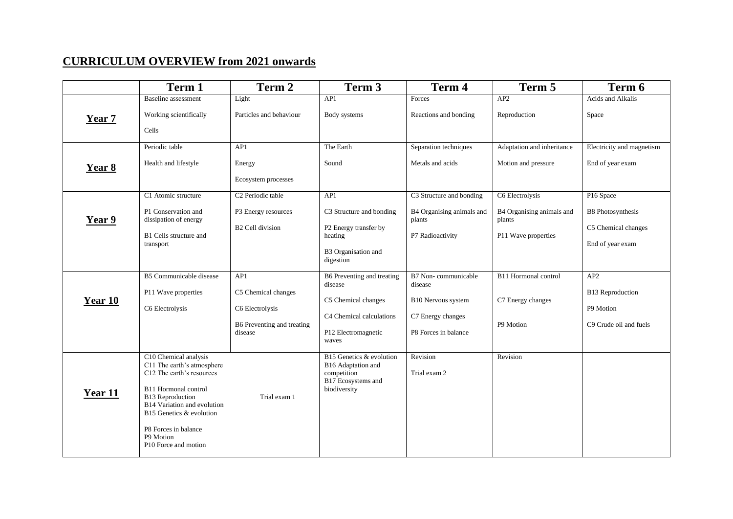## **CURRICULUM OVERVIEW from 2021 onwards**

|         | Term 1                                                                                                                                                                                                                                                                  | Term 2                                                                                 | Term 3                                                                                                                   | Term 4                                                                                            | Term 5                                                                        | Term 6                                                                           |
|---------|-------------------------------------------------------------------------------------------------------------------------------------------------------------------------------------------------------------------------------------------------------------------------|----------------------------------------------------------------------------------------|--------------------------------------------------------------------------------------------------------------------------|---------------------------------------------------------------------------------------------------|-------------------------------------------------------------------------------|----------------------------------------------------------------------------------|
| Year 7  | Baseline assessment<br>Working scientifically<br>Cells                                                                                                                                                                                                                  | Light<br>Particles and behaviour                                                       | AP1<br>Body systems                                                                                                      | Forces<br>Reactions and bonding                                                                   | AP2<br>Reproduction                                                           | Acids and Alkalis<br>Space                                                       |
| Year 8  | Periodic table<br>Health and lifestyle                                                                                                                                                                                                                                  | AP1<br>Energy<br>Ecosystem processes                                                   | The Earth<br>Sound                                                                                                       | Separation techniques<br>Metals and acids                                                         | Adaptation and inheritance<br>Motion and pressure                             | Electricity and magnetism<br>End of year exam                                    |
| Year 9  | C1 Atomic structure<br>P1 Conservation and<br>dissipation of energy<br>B1 Cells structure and<br>transport                                                                                                                                                              | C <sub>2</sub> Periodic table<br>P3 Energy resources<br><b>B2 Cell division</b>        | AP1<br>C3 Structure and bonding<br>P2 Energy transfer by<br>heating<br>B3 Organisation and<br>digestion                  | C3 Structure and bonding<br>B4 Organising animals and<br>plants<br>P7 Radioactivity               | C6 Electrolysis<br>B4 Organising animals and<br>plants<br>P11 Wave properties | P16 Space<br><b>B8</b> Photosynthesis<br>C5 Chemical changes<br>End of year exam |
| Year 10 | B5 Communicable disease<br>P11 Wave properties<br>C6 Electrolysis                                                                                                                                                                                                       | AP1<br>C5 Chemical changes<br>C6 Electrolysis<br>B6 Preventing and treating<br>disease | B6 Preventing and treating<br>disease<br>C5 Chemical changes<br>C4 Chemical calculations<br>P12 Electromagnetic<br>waves | B7 Non-communicable<br>disease<br>B10 Nervous system<br>C7 Energy changes<br>P8 Forces in balance | B11 Hormonal control<br>C7 Energy changes<br>P9 Motion                        | AP2<br><b>B13</b> Reproduction<br>P9 Motion<br>C9 Crude oil and fuels            |
| Year 11 | C10 Chemical analysis<br>C11 The earth's atmosphere<br>C12 The earth's resources<br>B11 Hormonal control<br><b>B13</b> Reproduction<br>B14 Variation and evolution<br>B15 Genetics & evolution<br>P8 Forces in balance<br>P9 Motion<br>P <sub>10</sub> Force and motion | Trial exam 1                                                                           | B15 Genetics & evolution<br>B16 Adaptation and<br>competition<br>B17 Ecosystems and<br>biodiversity                      | Revision<br>Trial exam 2                                                                          | Revision                                                                      |                                                                                  |